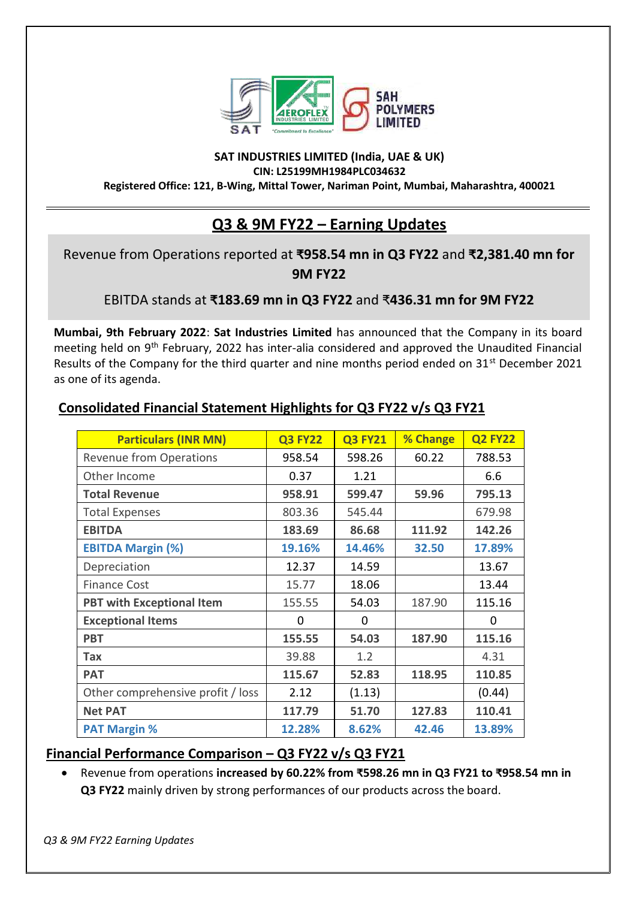

#### **SAT INDUSTRIES LIMITED (India, UAE & UK) CIN: L25199MH1984PLC034632 Registered Office: 121, B-Wing, Mittal Tower, Nariman Point, Mumbai, Maharashtra, 400021**

# **Q3 & 9M FY22 – Earning Updates**

## Revenue from Operations reported at **₹958.54 mn in Q3 FY22** and **₹2,381.40 mn for 9M FY22**

EBITDA stands at **₹183.69 mn in Q3 FY22** and ₹**436.31 mn for 9M FY22**

**Mumbai, 9th February 2022**: **Sat Industries Limited** has announced that the Company in its board meeting held on 9th February, 2022 has inter-alia considered and approved the Unaudited Financial Results of the Company for the third quarter and nine months period ended on 31<sup>st</sup> December 2021 as one of its agenda.

| <b>Particulars (INR MN)</b>       | <b>Q3 FY22</b> | <b>Q3 FY21</b> | % Change | <b>Q2 FY22</b> |
|-----------------------------------|----------------|----------------|----------|----------------|
| <b>Revenue from Operations</b>    | 958.54         | 598.26         | 60.22    | 788.53         |
| Other Income                      | 0.37           | 1.21           |          | 6.6            |
| <b>Total Revenue</b>              | 958.91         | 599.47         | 59.96    | 795.13         |
| <b>Total Expenses</b>             | 803.36         | 545.44         |          | 679.98         |
| <b>EBITDA</b>                     | 183.69         | 86.68          | 111.92   | 142.26         |
| <b>EBITDA Margin (%)</b>          | 19.16%         | 14.46%         | 32.50    | 17.89%         |
| Depreciation                      | 12.37          | 14.59          |          | 13.67          |
| <b>Finance Cost</b>               | 15.77          | 18.06          |          | 13.44          |
| <b>PBT with Exceptional Item</b>  | 155.55         | 54.03          | 187.90   | 115.16         |
| <b>Exceptional Items</b>          | $\Omega$       | $\Omega$       |          | 0              |
| <b>PBT</b>                        | 155.55         | 54.03          | 187.90   | 115.16         |
| Tax                               | 39.88          | 1.2            |          | 4.31           |
| <b>PAT</b>                        | 115.67         | 52.83          | 118.95   | 110.85         |
| Other comprehensive profit / loss | 2.12           | (1.13)         |          | (0.44)         |
| <b>Net PAT</b>                    | 117.79         | 51.70          | 127.83   | 110.41         |
| <b>PAT Margin %</b>               | 12.28%         | 8.62%          | 42.46    | 13.89%         |

## **Consolidated Financial Statement Highlights for Q3 FY22 v/s Q3 FY21**

## **Financial Performance Comparison – Q3 FY22 v/s Q3 FY21**

• Revenue from operations **increased by 60.22% from ₹598.26 mn in Q3 FY21 to ₹958.54 mn in Q3 FY22** mainly driven by strong performances of our products across the board.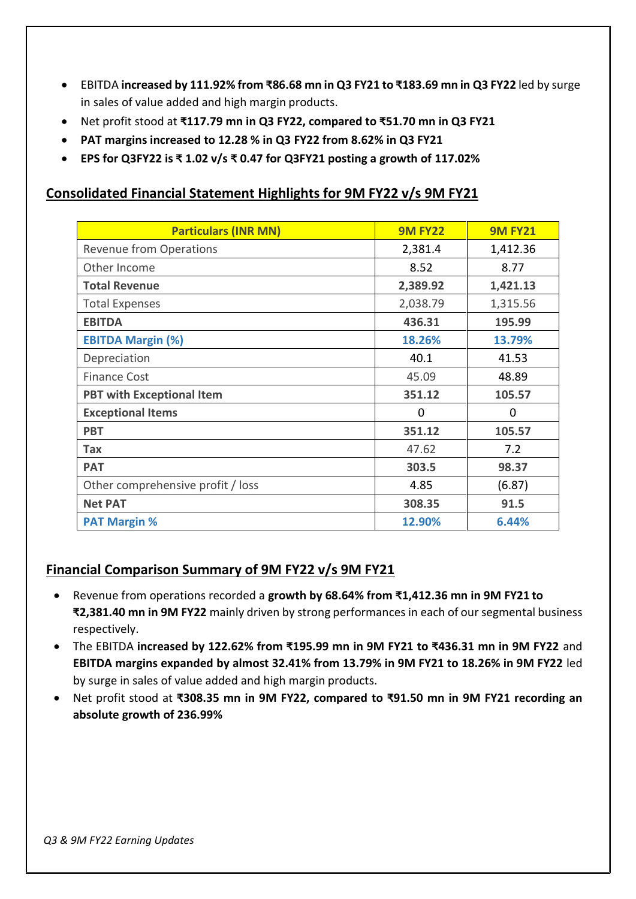- EBITDA **increased by 111.92% from ₹86.68 mn in Q3 FY21 to ₹183.69 mn in Q3 FY22** led by surge in sales of value added and high margin products.
- Net profit stood at **₹117.79 mn in Q3 FY22, compared to ₹51.70 mn in Q3 FY21**
- **PAT margins increased to 12.28 % in Q3 FY22 from 8.62% in Q3 FY21**
- **EPS for Q3FY22 is ₹ 1.02 v/s ₹ 0.47 for Q3FY21 posting a growth of 117.02%**

### **Consolidated Financial Statement Highlights for 9M FY22 v/s 9M FY21**

| <b>Particulars (INR MN)</b>       | <b>9M FY22</b> | <b>9M FY21</b> |
|-----------------------------------|----------------|----------------|
| <b>Revenue from Operations</b>    | 2,381.4        | 1,412.36       |
| Other Income                      | 8.52           | 8.77           |
| <b>Total Revenue</b>              | 2,389.92       | 1,421.13       |
| <b>Total Expenses</b>             | 2,038.79       | 1,315.56       |
| <b>EBITDA</b>                     | 436.31         | 195.99         |
| <b>EBITDA Margin (%)</b>          | 18.26%         | 13.79%         |
| Depreciation                      | 40.1           | 41.53          |
| <b>Finance Cost</b>               | 45.09          | 48.89          |
| <b>PBT with Exceptional Item</b>  | 351.12         | 105.57         |
| <b>Exceptional Items</b>          | $\Omega$       | $\Omega$       |
| <b>PBT</b>                        | 351.12         | 105.57         |
| Tax                               | 47.62          | 7.2            |
| <b>PAT</b>                        | 303.5          | 98.37          |
| Other comprehensive profit / loss | 4.85           | (6.87)         |
| <b>Net PAT</b>                    | 308.35         | 91.5           |
| <b>PAT Margin %</b>               | 12.90%         | 6.44%          |

### **Financial Comparison Summary of 9M FY22 v/s 9M FY21**

- Revenue from operations recorded a **growth by 68.64% from ₹1,412.36 mn in 9M FY21 to ₹2,381.40 mn in 9M FY22** mainly driven by strong performances in each of our segmental business respectively.
- The EBITDA **increased by 122.62% from ₹195.99 mn in 9M FY21 to ₹436.31 mn in 9M FY22** and **EBITDA margins expanded by almost 32.41% from 13.79% in 9M FY21 to 18.26% in 9M FY22** led by surge in sales of value added and high margin products.
- Net profit stood at **₹308.35 mn in 9M FY22, compared to ₹91.50 mn in 9M FY21 recording an absolute growth of 236.99%**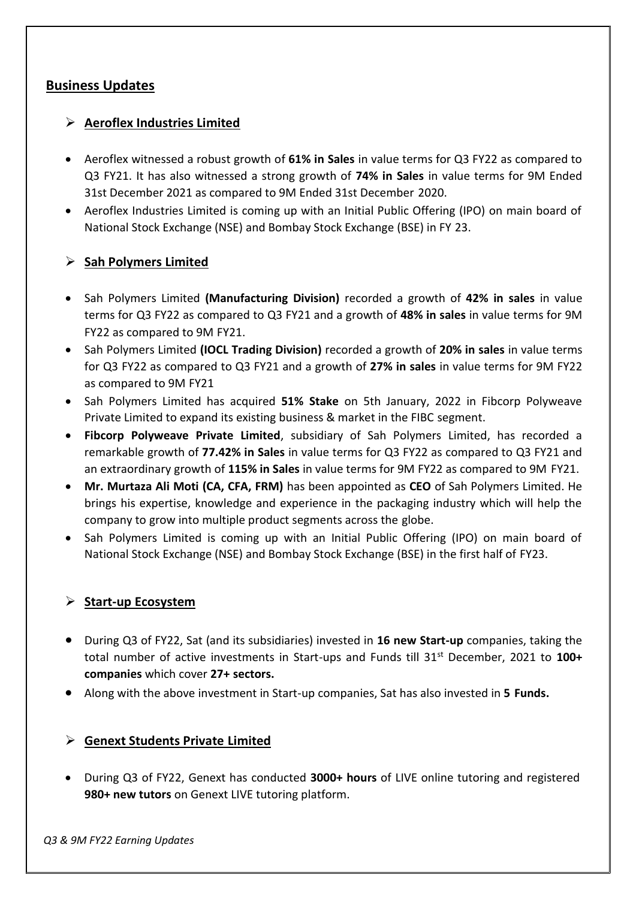### **Business Updates**

#### ➢ **Aeroflex Industries Limited**

- Aeroflex witnessed a robust growth of **61% in Sales** in value terms for Q3 FY22 as compared to Q3 FY21. It has also witnessed a strong growth of **74% in Sales** in value terms for 9M Ended 31st December 2021 as compared to 9M Ended 31st December 2020.
- Aeroflex Industries Limited is coming up with an Initial Public Offering (IPO) on main board of National Stock Exchange (NSE) and Bombay Stock Exchange (BSE) in FY 23.

#### ➢ **Sah Polymers Limited**

- Sah Polymers Limited **(Manufacturing Division)** recorded a growth of **42% in sales** in value terms for Q3 FY22 as compared to Q3 FY21 and a growth of **48% in sales** in value terms for 9M FY22 as compared to 9M FY21.
- Sah Polymers Limited **(IOCL Trading Division)** recorded a growth of **20% in sales** in value terms for Q3 FY22 as compared to Q3 FY21 and a growth of **27% in sales** in value terms for 9M FY22 as compared to 9M FY21
- Sah Polymers Limited has acquired **51% Stake** on 5th January, 2022 in Fibcorp Polyweave Private Limited to expand its existing business & market in the FIBC segment.
- **Fibcorp Polyweave Private Limited**, subsidiary of Sah Polymers Limited, has recorded a remarkable growth of **77.42% in Sales** in value terms for Q3 FY22 as compared to Q3 FY21 and an extraordinary growth of **115% in Sales** in value terms for 9M FY22 as compared to 9M FY21.
- **Mr. Murtaza Ali Moti (CA, CFA, FRM)** has been appointed as **CEO** of Sah Polymers Limited. He brings his expertise, knowledge and experience in the packaging industry which will help the company to grow into multiple product segments across the globe.
- Sah Polymers Limited is coming up with an Initial Public Offering (IPO) on main board of National Stock Exchange (NSE) and Bombay Stock Exchange (BSE) in the first half of FY23.

#### ➢ **Start-up Ecosystem**

- During Q3 of FY22, Sat (and its subsidiaries) invested in **16 new Start-up** companies, taking the total number of active investments in Start-ups and Funds till 31st December, 2021 to **100+ companies** which cover **27+ sectors.**
- Along with the above investment in Start-up companies, Sat has also invested in **5 Funds.**

#### ➢ **Genext Students Private Limited**

• During Q3 of FY22, Genext has conducted **3000+ hours** of LIVE online tutoring and registered **980+ new tutors** on Genext LIVE tutoring platform.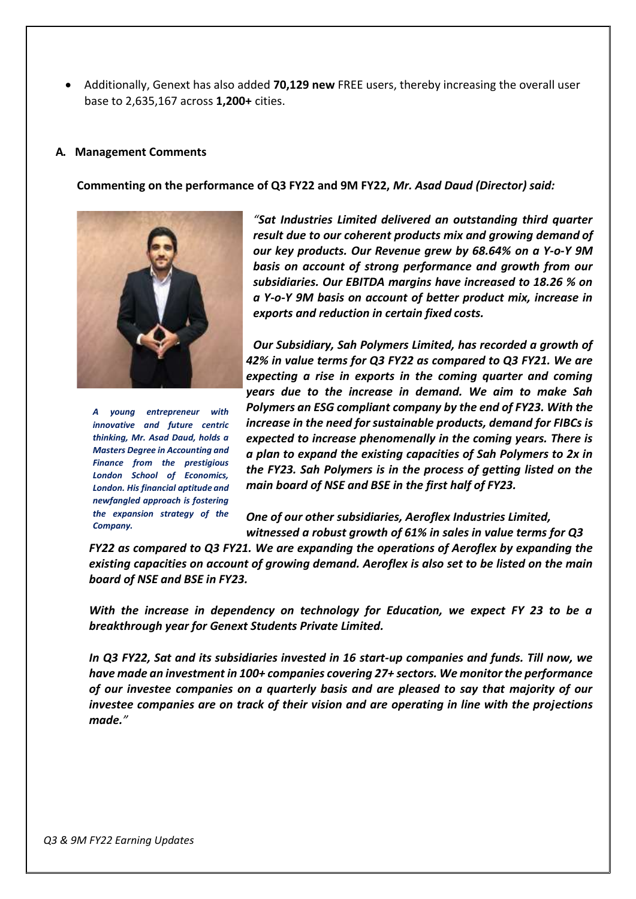• Additionally, Genext has also added **70,129 new** FREE users, thereby increasing the overall user base to 2,635,167 across **1,200+** cities.

#### **A. Management Comments**

**Commenting on the performance of Q3 FY22 and 9M FY22,** *Mr. Asad Daud (Director) said:*



*A young entrepreneur with innovative and future centric thinking, Mr. Asad Daud, holds a Masters Degree in Accounting and Finance from the prestigious London School of Economics, London. His financial aptitude and newfangled approach is fostering the expansion strategy of the Company.*

*"Sat Industries Limited delivered an outstanding third quarter result due to our coherent products mix and growing demand of our key products. Our Revenue grew by 68.64% on a Y-o-Y 9M basis on account of strong performance and growth from our subsidiaries. Our EBITDA margins have increased to 18.26 % on a Y-o-Y 9M basis on account of better product mix, increase in exports and reduction in certain fixed costs.*

*Our Subsidiary, Sah Polymers Limited, has recorded a growth of 42% in value terms for Q3 FY22 as compared to Q3 FY21. We are expecting a rise in exports in the coming quarter and coming years due to the increase in demand. We aim to make Sah Polymers an ESG compliant company by the end of FY23. With the increase in the need for sustainable products, demand for FIBCs is expected to increase phenomenally in the coming years. There is a plan to expand the existing capacities of Sah Polymers to 2x in the FY23. Sah Polymers is in the process of getting listed on the main board of NSE and BSE in the first half of FY23.*

*One of our other subsidiaries, Aeroflex Industries Limited, witnessed a robust growth of 61% in sales in value terms for Q3*

*FY22 as compared to Q3 FY21. We are expanding the operations of Aeroflex by expanding the existing capacities on account of growing demand. Aeroflex is also set to be listed on the main board of NSE and BSE in FY23.*

*With the increase in dependency on technology for Education, we expect FY 23 to be a breakthrough year for Genext Students Private Limited.*

*In Q3 FY22, Sat and its subsidiaries invested in 16 start-up companies and funds. Till now, we have made an investment in 100+ companies covering 27+ sectors. We monitor the performance of our investee companies on a quarterly basis and are pleased to say that majority of our investee companies are on track of their vision and are operating in line with the projections made."*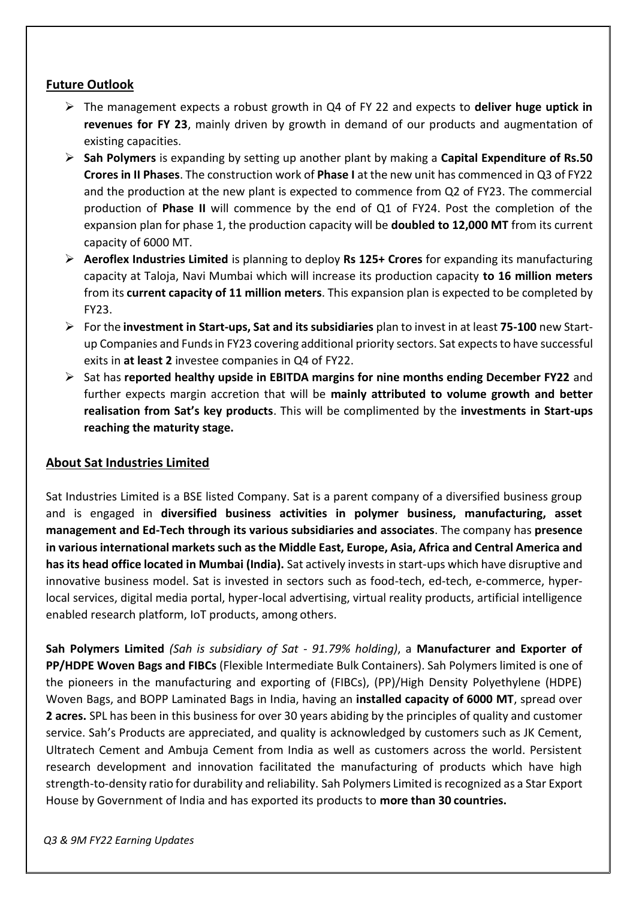### **Future Outlook**

- ➢ The management expects a robust growth in Q4 of FY 22 and expects to **deliver huge uptick in revenues for FY 23**, mainly driven by growth in demand of our products and augmentation of existing capacities.
- ➢ **Sah Polymers** is expanding by setting up another plant by making a **Capital Expenditure of Rs.50 Crores in II Phases**. The construction work of **Phase I** at the new unit has commenced in Q3 of FY22 and the production at the new plant is expected to commence from Q2 of FY23. The commercial production of **Phase II** will commence by the end of Q1 of FY24. Post the completion of the expansion plan for phase 1, the production capacity will be **doubled to 12,000 MT** from its current capacity of 6000 MT.
- ➢ **Aeroflex Industries Limited** is planning to deploy **Rs 125+ Crores** for expanding its manufacturing capacity at Taloja, Navi Mumbai which will increase its production capacity **to 16 million meters**  from its **current capacity of 11 million meters**. This expansion plan is expected to be completed by FY23.
- ➢ For the **investment in Start-ups, Sat and its subsidiaries** plan to invest in at least **75-100** new Startup Companies and Fundsin FY23 covering additional priority sectors. Sat expectsto have successful exits in **at least 2** investee companies in Q4 of FY22.
- ➢ Sat has **reported healthy upside in EBITDA margins for nine months ending December FY22** and further expects margin accretion that will be **mainly attributed to volume growth and better realisation from Sat's key products**. This will be complimented by the **investments in Start-ups reaching the maturity stage.**

### **About Sat Industries Limited**

Sat Industries Limited is a BSE listed Company. Sat is a parent company of a diversified business group and is engaged in **diversified business activities in polymer business, manufacturing, asset management and Ed-Tech through its various subsidiaries and associates**. The company has **presence in variousinternational marketssuch asthe Middle East, Europe, Asia, Africa and Central America and has its head office located in Mumbai (India).** Sat actively investsin start-ups which have disruptive and innovative business model. Sat is invested in sectors such as food-tech, ed-tech, e-commerce, hyperlocal services, digital media portal, hyper-local advertising, virtual reality products, artificial intelligence enabled research platform, IoT products, among others.

**Sah Polymers Limited** *(Sah is subsidiary of Sat - 91.79% holding)*, a **Manufacturer and Exporter of PP/HDPE Woven Bags and FIBCs** (Flexible Intermediate Bulk Containers). Sah Polymers limited is one of the pioneers in the manufacturing and exporting of (FIBCs), (PP)/High Density Polyethylene (HDPE) Woven Bags, and BOPP Laminated Bags in India, having an **installed capacity of 6000 MT**, spread over **2 acres.** SPL has been in this business for over 30 years abiding by the principles of quality and customer service. Sah's Products are appreciated, and quality is acknowledged by customers such as JK Cement, Ultratech Cement and Ambuja Cement from India as well as customers across the world. Persistent research development and innovation facilitated the manufacturing of products which have high strength-to-density ratio for durability and reliability. Sah Polymers Limited isrecognized as a Star Export House by Government of India and has exported its products to **more than 30 countries.**